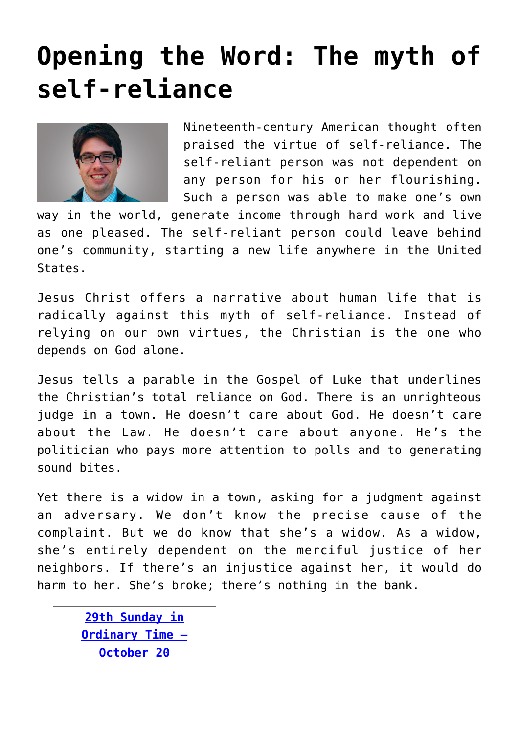## **[Opening the Word: The myth of](https://www.osvnews.com/2019/10/14/the-myth-of-self-reliance/) [self-reliance](https://www.osvnews.com/2019/10/14/the-myth-of-self-reliance/)**



Nineteenth-century American thought often praised the virtue of self-reliance. The self-reliant person was not dependent on any person for his or her flourishing. Such a person was able to make one's own

way in the world, generate income through hard work and live as one pleased. The self-reliant person could leave behind one's community, starting a new life anywhere in the United States.

Jesus Christ offers a narrative about human life that is radically against this myth of self-reliance. Instead of relying on our own virtues, the Christian is the one who depends on God alone.

Jesus tells a parable in the Gospel of Luke that underlines the Christian's total reliance on God. There is an unrighteous judge in a town. He doesn't care about God. He doesn't care about the Law. He doesn't care about anyone. He's the politician who pays more attention to polls and to generating sound bites.

Yet there is a widow in a town, asking for a judgment against an adversary. We don't know the precise cause of the complaint. But we do know that she's a widow. As a widow, she's entirely dependent on the merciful justice of her neighbors. If there's an injustice against her, it would do harm to her. She's broke; there's nothing in the bank.

**[29th Sunday in](http://www.usccb.org/bible/readings/102019.cfm) [Ordinary Time –](http://www.usccb.org/bible/readings/102019.cfm) [October 20](http://www.usccb.org/bible/readings/102019.cfm)**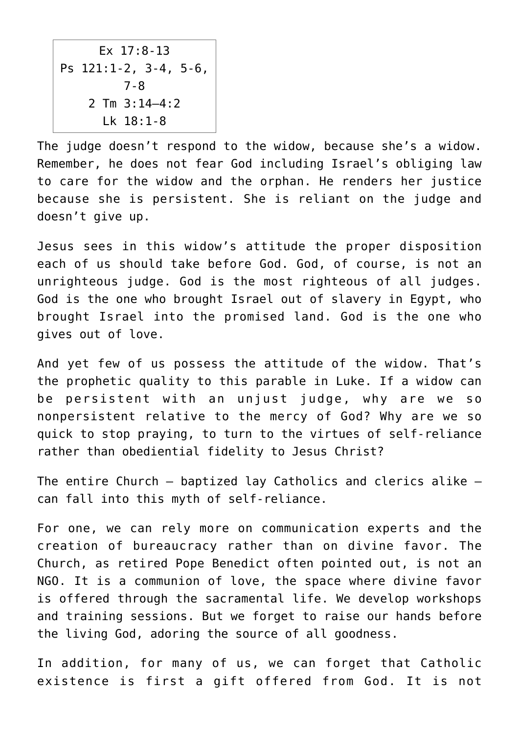Ex 17:8-13 Ps 121:1-2, 3-4, 5-6, 7-8 2 Tm 3:14–4:2 Lk 18:1-8

The judge doesn't respond to the widow, because she's a widow. Remember, he does not fear God including Israel's obliging law to care for the widow and the orphan. He renders her justice because she is persistent. She is reliant on the judge and doesn't give up.

Jesus sees in this widow's attitude the proper disposition each of us should take before God. God, of course, is not an unrighteous judge. God is the most righteous of all judges. God is the one who brought Israel out of slavery in Egypt, who brought Israel into the promised land. God is the one who gives out of love.

And yet few of us possess the attitude of the widow. That's the prophetic quality to this parable in Luke. If a widow can be persistent with an unjust judge, why are we so nonpersistent relative to the mercy of God? Why are we so quick to stop praying, to turn to the virtues of self-reliance rather than obediential fidelity to Jesus Christ?

The entire Church — baptized lay Catholics and clerics alike can fall into this myth of self-reliance.

For one, we can rely more on communication experts and the creation of bureaucracy rather than on divine favor. The Church, as retired Pope Benedict often pointed out, is not an NGO. It is a communion of love, the space where divine favor is offered through the sacramental life. We develop workshops and training sessions. But we forget to raise our hands before the living God, adoring the source of all goodness.

In addition, for many of us, we can forget that Catholic existence is first a gift offered from God. It is not